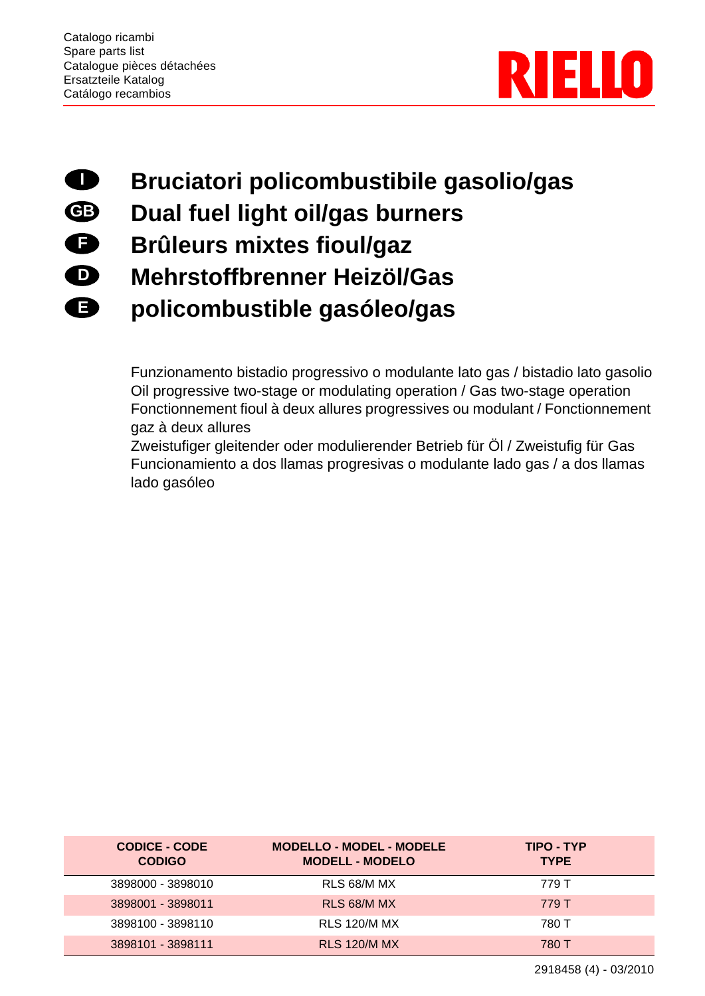

## **Bruciatori policombustibile gasolio/gas I**

- **Dual fuel light oil/gas burners GB**
- **Brûleurs mixtes fioul/gaz F**
- **Mehrstoffbrenner Heizöl/Gas D**
- **policombustible gasóleo/gas E**

Funzionamento bistadio progressivo o modulante lato gas / bistadio lato gasolio Oil progressive two-stage or modulating operation / Gas two-stage operation Fonctionnement fioul à deux allures progressives ou modulant / Fonctionnement gaz à deux allures

Zweistufiger gleitender oder modulierender Betrieb für Öl / Zweistufig für Gas Funcionamiento a dos llamas progresivas o modulante lado gas / a dos llamas lado gasóleo

| <b>CODICE - CODE</b><br><b>CODIGO</b> | <b>MODELLO - MODEL - MODELE</b><br><b>MODELL - MODELO</b> | TIPO - TYP<br><b>TYPE</b> |
|---------------------------------------|-----------------------------------------------------------|---------------------------|
| 3898000 - 3898010                     | RLS 68/M MX                                               | 779 T                     |
| 3898001 - 3898011                     | RLS 68/M MX                                               | 779 T                     |
| 3898100 - 3898110                     | <b>RLS 120/M MX</b>                                       | 780 T                     |
| 3898101 - 3898111                     | <b>RLS 120/M MX</b>                                       | 780 T                     |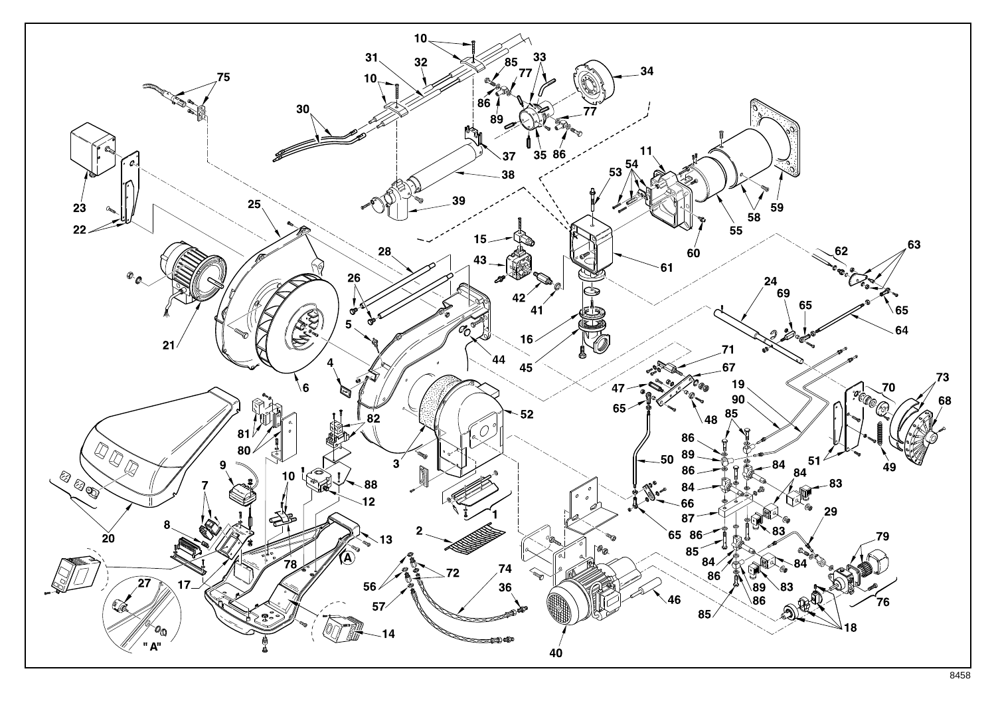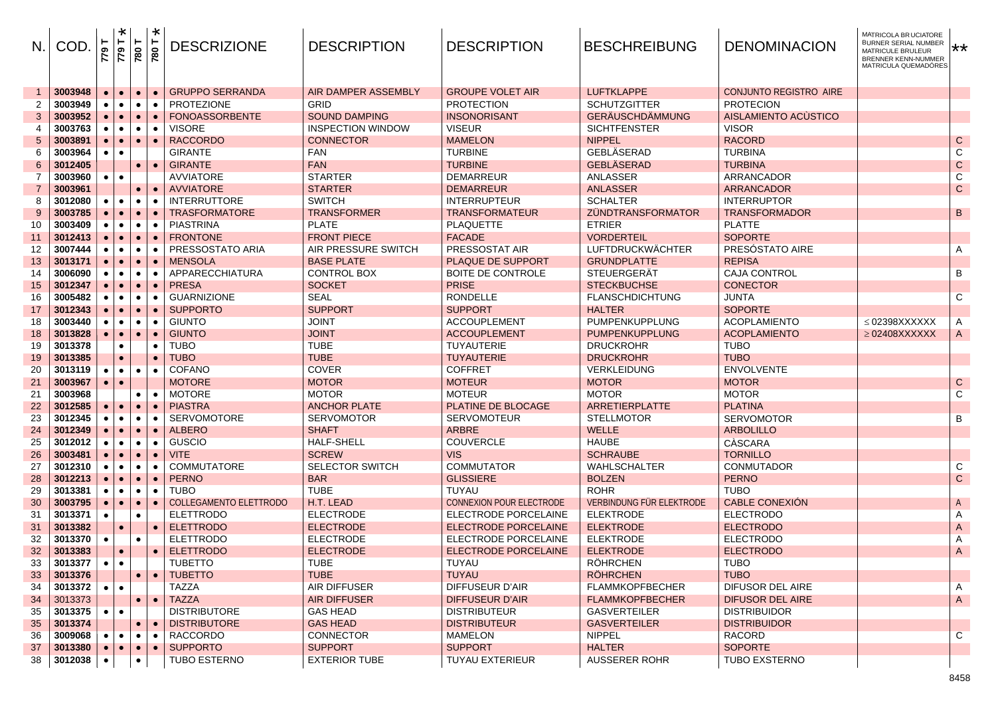| N.             | <b>COD</b>                    | <b>1644</b> | $\ast$<br><b>1644</b> | 780                    | ×<br>780  | <b>DESCRIZIONE</b>            | <b>DESCRIPTION</b>                   | <b>DESCRIPTION</b>                    | <b>BESCHREIBUNG</b>                  | <b>DENOMINACION</b>           | MATRICOLA BRUCIATORE<br>BURNER SERIAL NUMBER<br>MATRICULE BRULEUR<br>BRENNER KENN-NUMMER<br>MATRICULA QUEMADÓRES | **                        |
|----------------|-------------------------------|-------------|-----------------------|------------------------|-----------|-------------------------------|--------------------------------------|---------------------------------------|--------------------------------------|-------------------------------|------------------------------------------------------------------------------------------------------------------|---------------------------|
|                | 3003948                       |             | $\bullet$             | $\bullet$              |           | <b>GRUPPO SERRANDA</b>        | AIR DAMPER ASSEMBLY                  | <b>GROUPE VOLET AIR</b>               | <b>LUFTKLAPPE</b>                    | <b>CONJUNTO REGISTRO AIRE</b> |                                                                                                                  |                           |
| $\overline{2}$ | 3003949                       |             |                       | $\bullet$              |           | <b>PROTEZIONE</b>             | <b>GRID</b>                          | <b>PROTECTION</b>                     | <b>SCHUTZGITTER</b>                  | <b>PROTECION</b>              |                                                                                                                  |                           |
| 3              | 3003952                       |             |                       | $\bullet$              |           | <b>FONOASSORBENTE</b>         | <b>SOUND DAMPING</b>                 | <b>INSONORISANT</b>                   | <b>GERÄUSCHDÄMMUNG</b>               | AISLAMIENTO ACUSTICO          |                                                                                                                  |                           |
| 4              | 3003763                       |             | $\bullet$             | $\bullet$              | $\bullet$ | VISORE                        | <b>INSPECTION WINDOW</b>             | <b>VISEUR</b>                         | <b>SICHTFENSTER</b>                  | <b>VISOR</b>                  |                                                                                                                  |                           |
| 5              | 3003891                       |             | $\bullet$             | $\bullet$              |           | <b>RACCORDO</b>               | <b>CONNECTOR</b>                     | <b>MAMELON</b>                        | <b>NIPPEL</b>                        | <b>RACORD</b>                 |                                                                                                                  | $\mathbf C$               |
| 6              | 3003964                       |             |                       |                        |           | <b>GIRANTE</b>                | <b>FAN</b>                           | <b>TURBINE</b>                        | <b>GEBLÄSERAD</b>                    | <b>TURBINA</b>                |                                                                                                                  | C                         |
| 6              | 3012405                       |             |                       | $\bullet$              |           | <b>GIRANTE</b>                | <b>FAN</b>                           | <b>TURBINE</b>                        | <b>GEBLÄSERAD</b>                    | <b>TURBINA</b>                |                                                                                                                  | $\mathsf C$               |
| 7              | 3003960                       | $\bullet$   | $\bullet$             |                        |           | AVVIATORE                     | <b>STARTER</b>                       | <b>DEMARREUR</b>                      | ANLASSER                             | ARRANCADOR                    |                                                                                                                  | $\overline{C}$            |
|                | 3003961                       |             |                       | $\bullet$              |           | <b>AVVIATORE</b>              | <b>STARTER</b>                       | <b>DEMARREUR</b>                      | <b>ANLASSER</b>                      | <b>ARRANCADOR</b>             |                                                                                                                  | $\mathsf C$               |
| 8              | 3012080                       |             |                       | $\bullet$              |           | <b>INTERRUTTORE</b>           | <b>SWITCH</b>                        | <b>INTERRUPTEUR</b>                   | <b>SCHALTER</b>                      | <b>INTERRUPTOR</b>            |                                                                                                                  |                           |
| 9              | 3003785                       |             |                       | $\bullet$              |           | TRASFORMATORE                 | <b>TRANSFORMER</b>                   | <b>TRANSFORMATEUR</b>                 | <b>ZÜNDTRANSFORMATOR</b>             | <b>TRANSFORMADOR</b>          |                                                                                                                  | B                         |
| 10             | 3003409                       |             |                       | $\bullet$              |           | PIASTRINA                     | <b>PLATE</b>                         | <b>PLAQUETTE</b>                      | <b>ETRIER</b>                        | <b>PLATTE</b>                 |                                                                                                                  |                           |
| 11             | 3012413                       |             |                       | $\bullet$              |           | <b>FRONTONE</b>               | <b>FRONT PIECE</b>                   | <b>FACADE</b>                         | <b>VORDERTEIL</b>                    | <b>SOPORTE</b>                |                                                                                                                  |                           |
| 12             | 3007444                       |             | $\bullet$             | $\bullet$              |           | PRESSOSTATO ARIA              | AIR PRESSURE SWITCH                  | PRESSOSTAT AIR                        | <b>LUFTDRUCKWÄCHTER</b>              | PRESOSTATO AIRE               |                                                                                                                  | A                         |
| 13             | 3013171                       |             |                       | $\bullet$              |           | <b>MENSOLA</b>                | <b>BASE PLATE</b>                    | <b>PLAQUE DE SUPPORT</b>              | <b>GRUNDPLATTE</b>                   | <b>REPISA</b>                 |                                                                                                                  |                           |
| 14             | 3006090                       |             |                       | $\bullet$              |           | APPARECCHIATURA               | <b>CONTROL BOX</b>                   | <b>BOITE DE CONTROLE</b>              | <b>STEUERGERÄT</b>                   | <b>CAJA CONTROL</b>           |                                                                                                                  | В                         |
| 15             | 3012347                       |             |                       | $\bullet$              |           | <b>PRESA</b>                  | <b>SOCKET</b>                        | <b>PRISE</b>                          | <b>STECKBUCHSE</b>                   | <b>CONECTOR</b>               |                                                                                                                  |                           |
| 16             | 3005482                       |             |                       | $\bullet$              |           | <b>GUARNIZIONE</b>            | <b>SEAL</b>                          | <b>RONDELLE</b>                       | <b>FLANSCHDICHTUNG</b>               | JUNTA                         |                                                                                                                  | C                         |
| 17             | 3012343                       |             |                       | $\bullet$              |           | <b>SUPPORTO</b>               | <b>SUPPORT</b>                       | <b>SUPPORT</b>                        | <b>HALTER</b>                        | <b>SOPORTE</b>                |                                                                                                                  |                           |
| 18             | 3003440                       |             |                       | $\bullet$              |           | GIUNTO                        | <b>JOINT</b>                         | <b>ACCOUPLEMENT</b>                   | PUMPENKUPPLUNG                       | <b>ACOPLAMIENTO</b>           | $\leq$ 02398XXXXXX                                                                                               | A                         |
| 18             | 3013828                       |             | $\bullet$             | $\bullet$              |           | <b>GIUNTO</b>                 | <b>JOINT</b>                         | <b>ACCOUPLEMENT</b>                   | <b>PUMPENKUPPLUNG</b>                | <b>ACOPLAMIENTO</b>           | $\geq$ 02408XXXXXX                                                                                               | $\mathsf{A}$              |
| 19             | 3013378                       |             |                       |                        |           | TUBO                          | <b>TUBE</b>                          | <b>TUYAUTERIE</b>                     | <b>DRUCKROHR</b>                     | <b>TUBO</b>                   |                                                                                                                  |                           |
| 19             | 3013385                       |             |                       |                        |           | <b>TUBO</b>                   | <b>TUBE</b>                          | <b>TUYAUTERIE</b>                     | <b>DRUCKROHR</b>                     | <b>TUBO</b>                   |                                                                                                                  |                           |
| 20             | 3013119                       |             | $\bullet$             | $\bullet$              |           | <b>COFANO</b>                 | <b>COVER</b>                         | <b>COFFRET</b>                        | <b>VERKLEIDUNG</b>                   | <b>ENVOLVENTE</b>             |                                                                                                                  |                           |
| 21             | 3003967                       | $\bullet$   |                       |                        |           | <b>MOTORE</b>                 | <b>MOTOR</b>                         | <b>MOTEUR</b>                         | <b>MOTOR</b>                         | <b>MOTOR</b>                  |                                                                                                                  | $\mathbf C$               |
| 21             | 3003968                       |             |                       | $\bullet$              |           | <b>MOTORE</b>                 | <b>MOTOR</b>                         | <b>MOTEUR</b>                         | <b>MOTOR</b>                         | <b>MOTOR</b>                  |                                                                                                                  | $\overline{C}$            |
| 22             | 3012585                       |             |                       | $\bullet$              |           | <b>PIASTRA</b>                | <b>ANCHOR PLATE</b>                  | PLATINE DE BLOCAGE                    | ARRETIERPLATTE                       | <b>PLATINA</b>                |                                                                                                                  |                           |
| 23             | 3012345                       |             |                       | $\bullet$              |           | <b>SERVOMOTORE</b>            | <b>SERVOMOTOR</b>                    | <b>SERVOMOTEUR</b>                    | <b>STELLMOTOR</b>                    | <b>SERVOMOTOR</b>             |                                                                                                                  | В                         |
| 24             | 3012349                       |             |                       | $\bullet$              |           | <b>ALBERO</b>                 | <b>SHAFT</b>                         | <b>ARBRE</b>                          | <b>WELLE</b>                         | <b>ARBOLILLO</b>              |                                                                                                                  |                           |
| 25             | 3012012                       |             |                       | $\bullet$              |           | GUSCIO                        | <b>HALF-SHELL</b>                    | <b>COUVERCLE</b>                      | <b>HAUBE</b>                         | CÀSCARA                       |                                                                                                                  |                           |
| 26             | 3003481                       |             |                       | $\bullet$              |           | <b>VITE</b>                   | <b>SCREW</b>                         | <b>VIS</b>                            | <b>SCHRAUBE</b>                      | <b>TORNILLO</b>               |                                                                                                                  |                           |
| 27<br>28       | 3012310<br>3012213            |             |                       | $\bullet$<br>$\bullet$ |           | COMMUTATORE<br><b>PERNO</b>   | <b>SELECTOR SWITCH</b><br><b>BAR</b> | <b>COMMUTATOR</b><br><b>GLISSIERE</b> | <b>WAHLSCHALTER</b><br><b>BOLZEN</b> | CONMUTADOR<br><b>PERNO</b>    |                                                                                                                  | C<br>$\mathbf C$          |
| 29             | 3013381                       |             | $\bullet$             | $\bullet$              |           | TUBO                          | <b>TUBE</b>                          | TUYAU                                 | <b>ROHR</b>                          | <b>TUBO</b>                   |                                                                                                                  |                           |
| 30             | 3003795                       |             | $\bullet$             | $\bullet$              |           | <b>COLLEGAMENTO ELETTRODO</b> | H.T. LEAD                            | <b>CONNEXION POUR ELECTRODE</b>       | VERBINDUNG FÜR ELEKTRODE             | CABLE CONEXIÓN                |                                                                                                                  | $\mathsf{A}$              |
| 31             | 3013371                       |             |                       | $\bullet$              |           | <b>ELETTRODO</b>              | <b>ELECTRODE</b>                     | <b>ELECTRODE PORCELAINE</b>           | <b>ELEKTRODE</b>                     | <b>ELECTRODO</b>              |                                                                                                                  | $\mathsf{A}$              |
| 31             | 3013382                       |             | $\bullet$             |                        |           | <b>ELETTRODO</b>              | <b>ELECTRODE</b>                     | <b>ELECTRODE PORCELAINE</b>           | <b>ELEKTRODE</b>                     | <b>ELECTRODO</b>              |                                                                                                                  | $\boldsymbol{\mathsf{A}}$ |
| 32             | 3013370                       |             |                       | $\bullet$              |           | ELETTRODO                     | <b>ELECTRODE</b>                     | ELECTRODE PORCELAINE                  | <b>ELEKTRODE</b>                     | <b>ELECTRODO</b>              |                                                                                                                  | A                         |
| 32             | 3013383                       |             | $\bullet$             |                        | $\bullet$ | <b>ELETTRODO</b>              | <b>ELECTRODE</b>                     | <b>ELECTRODE PORCELAINE</b>           | <b>ELEKTRODE</b>                     | <b>ELECTRODO</b>              |                                                                                                                  | $\overline{A}$            |
| 33             | $3013377$ $\bullet$ $\bullet$ |             |                       |                        |           | TUBETTO                       | <b>TUBE</b>                          | TUYAU                                 | <b>RÖHRCHEN</b>                      | <b>TUBO</b>                   |                                                                                                                  |                           |
| 33             | 3013376                       |             |                       | $\bullet$              | $\bullet$ | <b>TUBETTO</b>                | <b>TUBE</b>                          | <b>TUYAU</b>                          | <b>RÖHRCHEN</b>                      | <b>TUBO</b>                   |                                                                                                                  |                           |
| 34             | 3013372                       | $\bullet$   | $\bullet$             |                        |           | TAZZA                         | AIR DIFFUSER                         | DIFFUSEUR D'AIR                       | <b>FLAMMKOPFBECHER</b>               | DIFUSOR DEL AIRE              |                                                                                                                  | A                         |
| 34             | 3013373                       |             |                       | $\bullet$              | $\bullet$ | <b>TAZZA</b>                  | <b>AIR DIFFUSER</b>                  | DIFFUSEUR D'AIR                       | <b>FLAMMKOPFBECHER</b>               | DIFUSOR DEL AIRE              |                                                                                                                  | $\mathsf{A}$              |
| 35             | 3013375                       | $\bullet$   | $\bullet$             |                        |           | <b>DISTRIBUTORE</b>           | <b>GAS HEAD</b>                      | <b>DISTRIBUTEUR</b>                   | <b>GASVERTEILER</b>                  | <b>DISTRIBUIDOR</b>           |                                                                                                                  |                           |
| 35             | 3013374                       |             |                       | $\bullet$              | $\bullet$ | <b>DISTRIBUTORE</b>           | <b>GAS HEAD</b>                      | <b>DISTRIBUTEUR</b>                   | <b>GASVERTEILER</b>                  | <b>DISTRIBUIDOR</b>           |                                                                                                                  |                           |
| 36             | 3009068                       |             | $\bullet$             | $\bullet$              | $\bullet$ | <b>RACCORDO</b>               | <b>CONNECTOR</b>                     | <b>MAMELON</b>                        | <b>NIPPEL</b>                        | RACORD                        |                                                                                                                  | $\overline{C}$            |
| 37             | 3013380                       | $\bullet$   | $\bullet$             | $\bullet$              | $\bullet$ | <b>SUPPORTO</b>               | <b>SUPPORT</b>                       | <b>SUPPORT</b>                        | <b>HALTER</b>                        | <b>SOPORTE</b>                |                                                                                                                  |                           |
| 38             | 3012038                       |             |                       | $\bullet$              |           | TUBO ESTERNO                  | <b>EXTERIOR TUBE</b>                 | <b>TUYAU EXTERIEUR</b>                | <b>AUSSERER ROHR</b>                 | <b>TUBO EXSTERNO</b>          |                                                                                                                  |                           |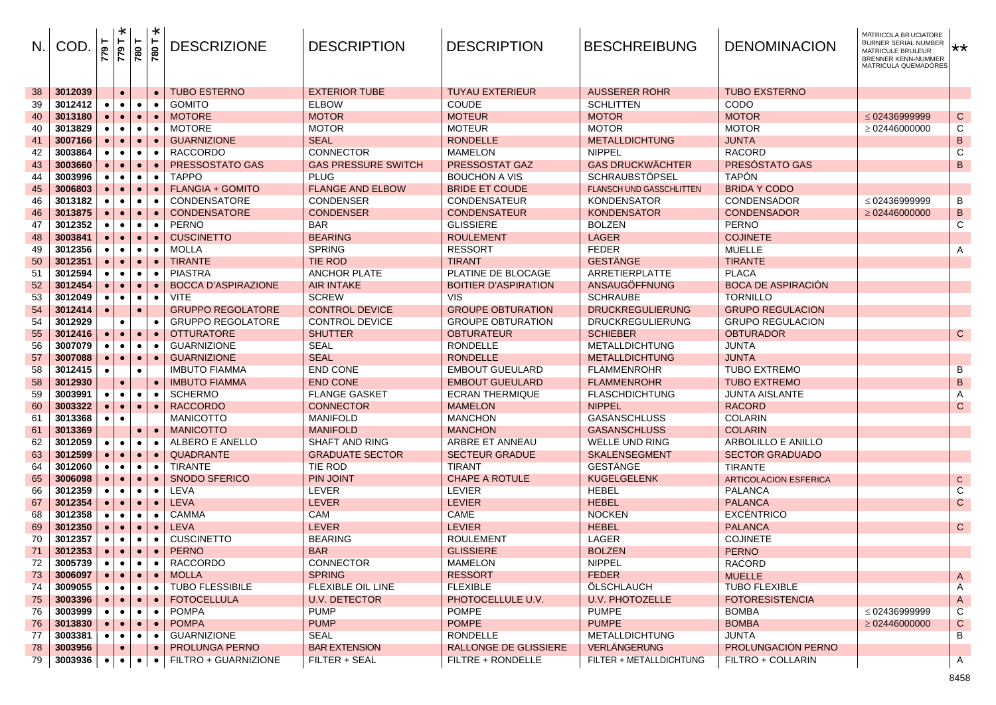| $N_{\cdot}$ | <b>COD</b> | ۳<br>779    | $\ast$<br>T 644 | 780       | $\ast$<br>780 | <b>DESCRIZIONE</b>         | <b>DESCRIPTION</b>         | <b>DESCRIPTION</b>          | <b>BESCHREIBUNG</b>             | <b>DENOMINACION</b>          | MATRICOLA BRUCIATORE<br>BURNER SERIAL NUMBER X<br>MATRICULE BRULEUR<br>BRENNER KENN-NUMMER<br>MATRICULA QUEMADÓRES |                |
|-------------|------------|-------------|-----------------|-----------|---------------|----------------------------|----------------------------|-----------------------------|---------------------------------|------------------------------|--------------------------------------------------------------------------------------------------------------------|----------------|
| 38          | 3012039    |             | $\bullet$       |           | $\bullet$     | <b>TUBO ESTERNO</b>        | <b>EXTERIOR TUBE</b>       | <b>TUYAU EXTERIEUR</b>      | <b>AUSSERER ROHR</b>            | <b>TUBO EXSTERNO</b>         |                                                                                                                    |                |
| 39          | 3012412    |             | $\bullet$       | $\bullet$ | $\bullet$     | <b>GOMITO</b>              | <b>ELBOW</b>               | <b>COUDE</b>                | <b>SCHLITTEN</b>                | <b>CODO</b>                  |                                                                                                                    |                |
| 40          | 3013180    |             | $\bullet$       | $\bullet$ | $\bullet$     | <b>MOTORE</b>              | <b>MOTOR</b>               | <b>MOTEUR</b>               | <b>MOTOR</b>                    | <b>MOTOR</b>                 | $\leq$ 02436999999                                                                                                 | ${\bf C}$      |
| 40          | 3013829    | $\bullet$   | $\bullet$       | $\bullet$ | $\bullet$     | <b>MOTORE</b>              | <b>MOTOR</b>               | <b>MOTEUR</b>               | <b>MOTOR</b>                    | <b>MOTOR</b>                 | $\geq$ 02446000000                                                                                                 | C              |
| 41          | 3007166    |             |                 | $\bullet$ |               | <b>GUARNIZIONE</b>         | <b>SEAL</b>                | <b>RONDELLE</b>             | <b>METALLDICHTUNG</b>           | <b>JUNTA</b>                 |                                                                                                                    | $\sf B$        |
| 42          | 3003864    |             | $\bullet$       | $\bullet$ |               | <b>RACCORDO</b>            | <b>CONNECTOR</b>           | <b>MAMELON</b>              | <b>NIPPEL</b>                   | <b>RACORD</b>                |                                                                                                                    | C              |
| 43          | 3003660    |             |                 | $\bullet$ | $\bullet$     | PRESSOSTATO GAS            | <b>GAS PRESSURE SWITCH</b> | <b>PRESSOSTAT GAZ</b>       | <b>GAS DRUCKWÄCHTER</b>         | PRESÓSTATO GAS               |                                                                                                                    | $\, {\bf B}$   |
| 44          | 3003996    |             | $\bullet$       | $\bullet$ | $\bullet$     | <b>TAPPO</b>               | <b>PLUG</b>                | <b>BOUCHON A VIS</b>        | <b>SCHRAUBSTÖPSEL</b>           | <b>TAPÓN</b>                 |                                                                                                                    |                |
| 45          | 3006803    |             |                 | $\bullet$ | $\bullet$     | <b>FLANGIA + GOMITO</b>    | <b>FLANGE AND ELBOW</b>    | <b>BRIDE ET COUDE</b>       | <b>FLANSCH UND GASSCHLITTEN</b> | <b>BRIDA Y CODO</b>          |                                                                                                                    |                |
| 46          | 3013182    |             | $\bullet$       | $\bullet$ | $\bullet$     | CONDENSATORE               | <b>CONDENSER</b>           | CONDENSATEUR                | <b>KONDENSATOR</b>              | CONDENSADOR                  | $\leq$ 02436999999                                                                                                 | В              |
| 46          | 3013875    |             |                 | $\bullet$ |               | <b>CONDENSATORE</b>        | <b>CONDENSER</b>           | <b>CONDENSATEUR</b>         | <b>KONDENSATOR</b>              | <b>CONDENSADOR</b>           | $\geq$ 02446000000                                                                                                 | $\, {\bf B}$   |
| 47          | 3012352    |             | $\bullet$       | $\bullet$ | $\bullet$     | <b>PERNO</b>               | BAR                        | <b>GLISSIERE</b>            | <b>BOLZEN</b>                   | <b>PERNO</b>                 |                                                                                                                    | C              |
| 48          | 3003841    |             | $\bullet$       | $\bullet$ | $\bullet$     | <b>CUSCINETTO</b>          | <b>BEARING</b>             | <b>ROULEMENT</b>            | <b>LAGER</b>                    | <b>COJINETE</b>              |                                                                                                                    |                |
| 49          | 3012356    |             | $\bullet$       | $\bullet$ | $\bullet$     | <b>MOLLA</b>               | <b>SPRING</b>              | <b>RESSORT</b>              | <b>FEDER</b>                    | <b>MUELLE</b>                |                                                                                                                    | A              |
| 50          | 3012351    |             |                 | $\bullet$ |               | <b>TIRANTE</b>             | <b>TIE ROD</b>             | <b>TIRANT</b>               | <b>GESTÄNGE</b>                 | <b>TIRANTE</b>               |                                                                                                                    |                |
| 51          | 3012594    |             | $\bullet$       | $\bullet$ | $\bullet$     | <b>PIASTRA</b>             | <b>ANCHOR PLATE</b>        | PLATINE DE BLOCAGE          | ARRETIERPLATTE                  | <b>PLACA</b>                 |                                                                                                                    |                |
| 52          | 3012454    |             |                 | $\bullet$ |               | <b>BOCCA D'ASPIRAZIONE</b> | <b>AIR INTAKE</b>          | <b>BOITIER D'ASPIRATION</b> | <b>ANSAUGÖFFNUNG</b>            | <b>BOCA DE ASPIRACIÓN</b>    |                                                                                                                    |                |
| 53          | 3012049    |             |                 | $\bullet$ | $\bullet$     | <b>VITE</b>                | <b>SCREW</b>               | <b>VIS</b>                  | <b>SCHRAUBE</b>                 | <b>TORNILLO</b>              |                                                                                                                    |                |
| 54          | 3012414    |             |                 | $\bullet$ |               | <b>GRUPPO REGOLATORE</b>   | <b>CONTROL DEVICE</b>      | <b>GROUPE OBTURATION</b>    | <b>DRUCKREGULIERUNG</b>         | <b>GRUPO REGULACION</b>      |                                                                                                                    |                |
| 54          | 3012929    |             | $\bullet$       |           |               | <b>GRUPPO REGOLATORE</b>   | <b>CONTROL DEVICE</b>      | <b>GROUPE OBTURATION</b>    | <b>DRUCKREGULIERUNG</b>         | <b>GRUPO REGULACION</b>      |                                                                                                                    |                |
| 55          | 3012416    |             | $\bullet$       | $\bullet$ |               | <b>OTTURATORE</b>          | <b>SHUTTER</b>             | <b>OBTURATEUR</b>           | <b>SCHIEBER</b>                 | <b>OBTURADOR</b>             |                                                                                                                    | ${\bf C}$      |
| 56          | 3007079    |             |                 | $\bullet$ | $\bullet$     | <b>GUARNIZIONE</b>         | SEAL                       | <b>RONDELLE</b>             | <b>METALLDICHTUNG</b>           | <b>JUNTA</b>                 |                                                                                                                    |                |
| 57          | 3007088    |             | $\bullet$       | $\bullet$ | $\bullet$     | <b>GUARNIZIONE</b>         | <b>SEAL</b>                | <b>RONDELLE</b>             | <b>METALLDICHTUNG</b>           | <b>JUNTA</b>                 |                                                                                                                    |                |
| 58          | 3012415    |             |                 | $\bullet$ |               | <b>IMBUTO FIAMMA</b>       | <b>END CONE</b>            | <b>EMBOUT GUEULARD</b>      | <b>FLAMMENROHR</b>              | <b>TUBO EXTREMO</b>          |                                                                                                                    | B              |
| 58          | 3012930    |             | $\bullet$       |           | $\bullet$     | <b>IMBUTO FIAMMA</b>       | <b>END CONE</b>            | <b>EMBOUT GUEULARD</b>      | <b>FLAMMENROHR</b>              | <b>TUBO EXTREMO</b>          |                                                                                                                    | $\, {\bf B}$   |
| 59          | 3003991    |             | $\bullet$       | $\bullet$ |               | <b>SCHERMO</b>             | <b>FLANGE GASKET</b>       | <b>ECRAN THERMIQUE</b>      | <b>FLASCHDICHTUNG</b>           | <b>JUNTA AISLANTE</b>        |                                                                                                                    | A              |
| 60          | 3003322    |             | $\bullet$       | $\bullet$ | $\bullet$     | <b>RACCORDO</b>            | <b>CONNECTOR</b>           | <b>MAMELON</b>              | <b>NIPPEL</b>                   | <b>RACORD</b>                |                                                                                                                    | $\mathsf{C}$   |
| 61          | 3013368    |             | $\bullet$       |           |               | <b>MANICOTTO</b>           | <b>MANIFOLD</b>            | <b>MANCHON</b>              | <b>GASANSCHLUSS</b>             | <b>COLARIN</b>               |                                                                                                                    |                |
| 61          | 3013369    |             |                 | $\bullet$ | $\bullet$     | <b>MANICOTTO</b>           | <b>MANIFOLD</b>            | <b>MANCHON</b>              | <b>GASANSCHLUSS</b>             | <b>COLARIN</b>               |                                                                                                                    |                |
| 62          | 3012059    |             |                 | $\bullet$ | $\bullet$     | ALBERO E ANELLO            | <b>SHAFT AND RING</b>      | ARBRE ET ANNEAU             | <b>WELLE UND RING</b>           | <b>ARBOLILLO E ANILLO</b>    |                                                                                                                    |                |
| 63          | 3012599    |             |                 | $\bullet$ | $\bullet$     | <b>QUADRANTE</b>           | <b>GRADUATE SECTOR</b>     | <b>SECTEUR GRADUE</b>       | <b>SKALENSEGMENT</b>            | <b>SECTOR GRADUADO</b>       |                                                                                                                    |                |
| 64          | 3012060    |             | $\bullet$       | $\bullet$ |               | <b>TIRANTE</b>             | <b>TIE ROD</b>             | <b>TIRANT</b>               | <b>GESTANGE</b>                 | <b>TIRANTE</b>               |                                                                                                                    |                |
| 65          | 3006098    |             | $\bullet$       | $\bullet$ |               | <b>SNODO SFERICO</b>       | <b>PIN JOINT</b>           | <b>CHAPE A ROTULE</b>       | <b>KUGELGELENK</b>              | <b>ARTICOLACION ESFERICA</b> |                                                                                                                    | ${\bf C}$      |
| 66          | 3012359    |             | $\bullet$       | $\bullet$ | $\bullet$     | LEVA                       | LEVER                      | <b>LEVIER</b>               | <b>HEBEL</b>                    | <b>PALANCA</b>               |                                                                                                                    | $\overline{C}$ |
| 67          | 3012354    |             |                 | $\bullet$ | $\bullet$     | <b>LEVA</b>                | <b>LEVER</b>               | <b>LEVIER</b>               | <b>HEBEL</b>                    | <b>PALANCA</b>               |                                                                                                                    | $\mathsf{C}$   |
| 68          | 3012358    |             | $\bullet$       | $\bullet$ | $\bullet$     | <b>CAMMA</b>               | <b>CAM</b>                 | <b>CAME</b>                 | <b>NOCKEN</b>                   | <b>EXCÉNTRICO</b>            |                                                                                                                    |                |
| 69          | 3012350    |             |                 | $\bullet$ | $\bullet$     | <b>LEVA</b>                | <b>LEVER</b>               | <b>LEVIER</b>               | <b>HEBEL</b>                    | <b>PALANCA</b>               |                                                                                                                    | $\mathsf{C}$   |
| 70          | 3012357    |             | $\bullet$       | $\bullet$ |               | <b>CUSCINETTO</b>          | <b>BEARING</b>             | <b>ROULEMENT</b>            | LAGER                           | <b>COJINETE</b>              |                                                                                                                    |                |
| 71          | 3012353    | $\bullet$   | $\bullet$       | $\bullet$ | $\bullet$     | <b>PERNO</b>               | <b>BAR</b>                 | <b>GLISSIERE</b>            | <b>BOLZEN</b>                   | <b>PERNO</b>                 |                                                                                                                    |                |
| 72          | 3005739    | $\bullet$ 1 | $\bullet$       | $\bullet$ | $\bullet$     | <b>RACCORDO</b>            | <b>CONNECTOR</b>           | <b>MAMELON</b>              | <b>NIPPEL</b>                   | RACORD                       |                                                                                                                    |                |
| 73          | 3006097    | $\bullet$   | $\bullet$       | $\bullet$ | $\bullet$     | <b>MOLLA</b>               | <b>SPRING</b>              | <b>RESSORT</b>              | <b>FEDER</b>                    | <b>MUELLE</b>                |                                                                                                                    | $\mathsf{A}$   |
| 74          | 3009055    |             | $\bullet$       | $\bullet$ | $\bullet$     | <b>TUBO FLESSIBILE</b>     | <b>FLEXIBLE OIL LINE</b>   | <b>FLEXIBLE</b>             | ÖLSCHLAUCH                      | <b>TUBO FLEXIBLE</b>         |                                                                                                                    | A              |
| 75          | 3003396    |             | $\bullet$       | $\bullet$ | $\bullet$     | <b>FOTOCELLULA</b>         | <b>U.V. DETECTOR</b>       | PHOTOCELLULE U.V.           | <b>U.V. PHOTOZELLE</b>          | <b>FOTORESISTENCIA</b>       |                                                                                                                    | $\mathsf{A}$   |
| 76          | 3003999    |             | $\bullet$       | $\bullet$ | $\bullet$     | <b>POMPA</b>               | <b>PUMP</b>                | <b>POMPE</b>                | <b>PUMPE</b>                    | <b>BOMBA</b>                 | $\leq$ 02436999999                                                                                                 | $\overline{C}$ |
| 76          | 3013830    |             | $\bullet$       | $\bullet$ | $\bullet$     | <b>POMPA</b>               | <b>PUMP</b>                | <b>POMPE</b>                | <b>PUMPE</b>                    | <b>BOMBA</b>                 | $\geq$ 02446000000                                                                                                 | $\mathsf{C}$   |
| 77          | 3003381    |             | $\bullet$       | $\bullet$ | $\bullet$     | <b>GUARNIZIONE</b>         | <b>SEAL</b>                | RONDELLE                    | <b>METALLDICHTUNG</b>           | <b>JUNTA</b>                 |                                                                                                                    | В              |
| 78          | 3003956    |             | $\bullet$       |           | $\bullet$     | PROLUNGA PERNO             | <b>BAR EXTENSION</b>       | RALLONGE DE GLISSIERE       | <b>VERLÄNGERUNG</b>             | PROLUNGACIÓN PERNO           |                                                                                                                    |                |
| 79          | 3003936    |             | $\bullet$       | $\bullet$ | $\bullet$     | FILTRO + GUARNIZIONE       | FILTER + SEAL              | FILTRE + RONDELLE           | FILTER + METALLDICHTUNG         | FILTRO + COLLARIN            |                                                                                                                    | $\overline{A}$ |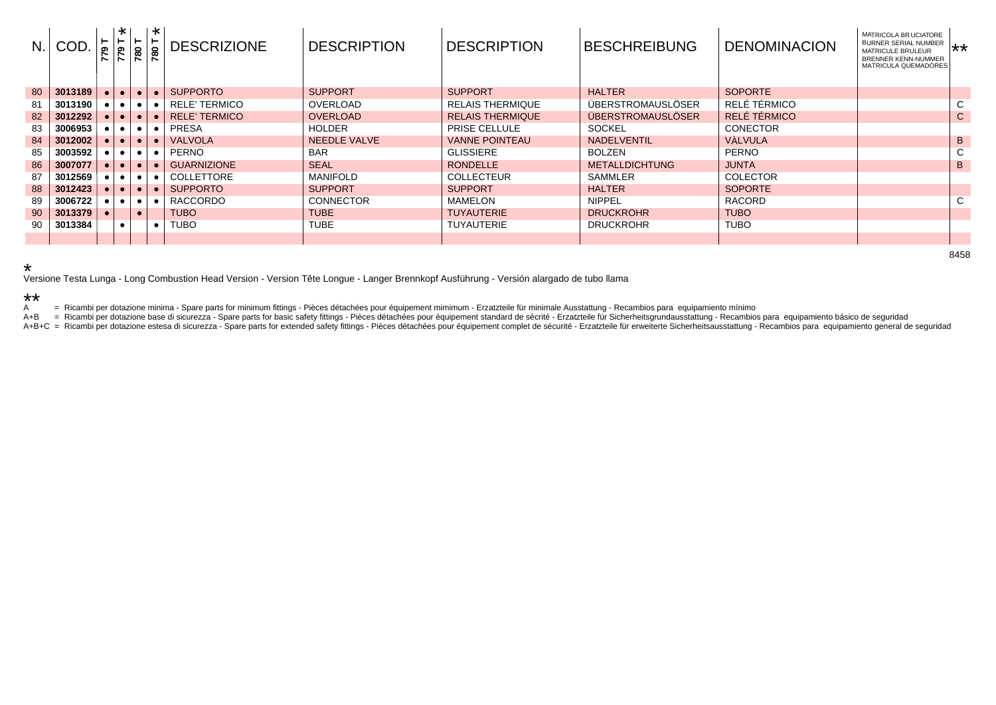| N. | COD.    |             | l *<br>$\vdash$<br>$rac{61}{77}$ | $\frac{8}{18}$ | l - ≭<br><u>ន្ត្រ</u> | <b>DESCRIZIONE</b>   | <b>DESCRIPTION</b> | <b>DESCRIPTION</b>      | <b>BESCHREIBUNG</b>      | <b>DENOMINACION</b> | MATRICOLA BRUCIATORE<br>BURNER SERIAL NUMBER XX<br><b>MATRICULE BRULEUR</b><br>BRENNER KENN-NUMMER<br>MATRICULA QUEMADÓRES |   |
|----|---------|-------------|----------------------------------|----------------|-----------------------|----------------------|--------------------|-------------------------|--------------------------|---------------------|----------------------------------------------------------------------------------------------------------------------------|---|
| 80 | 3013189 | $\bullet$   | $\bullet$                        | $\bullet$      | $\bullet$             | <b>SUPPORTO</b>      | <b>SUPPORT</b>     | <b>SUPPORT</b>          | <b>HALTER</b>            | <b>SOPORTE</b>      |                                                                                                                            |   |
| 81 | 3013190 |             |                                  |                |                       | <b>RELE' TERMICO</b> | OVERLOAD           | <b>RELAIS THERMIQUE</b> | ÜBERSTROMAUSLÖSER        | RELÉ TÉRMICO        |                                                                                                                            | C |
| 82 | 3012292 |             |                                  |                |                       | <b>RELE' TERMICO</b> | <b>OVERLOAD</b>    | <b>RELAIS THERMIQUE</b> | <b>ÜBERSTROMAUSLÖSER</b> | RELÉ TÉRMICO        |                                                                                                                            | C |
| 83 | 3006953 |             |                                  |                | $\bullet$             | PRESA                | <b>HOLDER</b>      | <b>PRISE CELLULE</b>    | <b>SOCKEL</b>            | <b>CONECTOR</b>     |                                                                                                                            |   |
| 84 | 3012002 |             |                                  |                | $\bullet$             | <b>VALVOLA</b>       | NEEDLE VALVE       | <b>VANNE POINTEAU</b>   | <b>NADELVENTIL</b>       | <b>VÀLVULA</b>      |                                                                                                                            | B |
| 85 | 3003592 |             |                                  |                | $\bullet$             | <b>PERNO</b>         | <b>BAR</b>         | <b>GLISSIERE</b>        | <b>BOLZEN</b>            | <b>PERNO</b>        |                                                                                                                            |   |
| 86 | 3007077 |             |                                  |                | $\bullet$             | <b>GUARNIZIONE</b>   | <b>SEAL</b>        | <b>RONDELLE</b>         | <b>METALLDICHTUNG</b>    | <b>JUNTA</b>        |                                                                                                                            | B |
| 87 | 3012569 |             | $\bullet$                        |                |                       | <b>COLLETTORE</b>    | MANIFOLD           | <b>COLLECTEUR</b>       | <b>SAMMLER</b>           | <b>COLECTOR</b>     |                                                                                                                            |   |
| 88 | 3012423 |             |                                  |                | $\bullet$             | <b>SUPPORTO</b>      | <b>SUPPORT</b>     | <b>SUPPORT</b>          | <b>HALTER</b>            | <b>SOPORTE</b>      |                                                                                                                            |   |
| 89 | 3006722 | $\bullet$ 1 | $\bullet$ 1                      |                | $\bullet$             | RACCORDO             | <b>CONNECTOR</b>   | MAMELON                 | <b>NIPPEL</b>            | <b>RACORD</b>       |                                                                                                                            | C |
| 90 | 3013379 | $\bullet$   |                                  |                |                       | <b>TUBO</b>          | <b>TUBE</b>        | <b>TUYAUTERIE</b>       | <b>DRUCKROHR</b>         | <b>TUBO</b>         |                                                                                                                            |   |
| 90 | 3013384 |             |                                  |                | $\bullet$             | TUBO                 | <b>TUBE</b>        | <b>TUYAUTERIE</b>       | <b>DRUCKROHR</b>         | <b>TUBO</b>         |                                                                                                                            |   |
|    |         |             |                                  |                |                       |                      |                    |                         |                          |                     |                                                                                                                            |   |

## \*

Versione Testa Lunga - Long Combustion Head Version - Version Tête Longue - Langer Brennkopf Ausführung - Versión alargado de tubo llama

## \*\*

A = Ricambi per dotazione minima - Spare parts for minimum fittings - Pièces détachées pour équipement mimimum - Erzatzteile für minimale Ausstattung - Recambios para equipamiento mínimo<br>A+B = Ricambi per dotazione base di